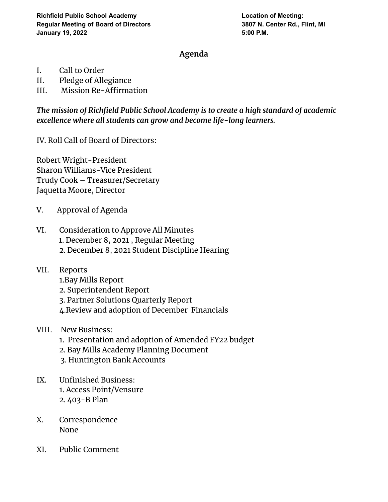## **Agenda**

- I. Call to Order
- II. Pledge of Allegiance
- III. Mission Re-Affirmation

*The mission of Richfield Public School Academy is to create a high standard of academic excellence where all students can grow and become life-long learners.*

IV. Roll Call of Board of Directors:

Robert Wright-President Sharon Williams-Vice President Trudy Cook – Treasurer/Secretary Jaquetta Moore, Director

- V. Approval of Agenda
- VI. Consideration to Approve All Minutes 1. December 8, 2021 , Regular Meeting 2. December 8, 2021 Student Discipline Hearing
- VII. Reports
	- 1.Bay Mills Report
	- 2. Superintendent Report
	- 3. Partner Solutions Quarterly Report
	- 4.Review and adoption of December Financials
- VIII. New Business:
	- 1. Presentation and adoption of Amended FY22 budget
	- 2. Bay Mills Academy Planning Document
	- 3. Huntington Bank Accounts
- IX. Unfinished Business: 1. Access Point/Vensure 2. 403-B Plan
- X. Correspondence None
- XI. Public Comment